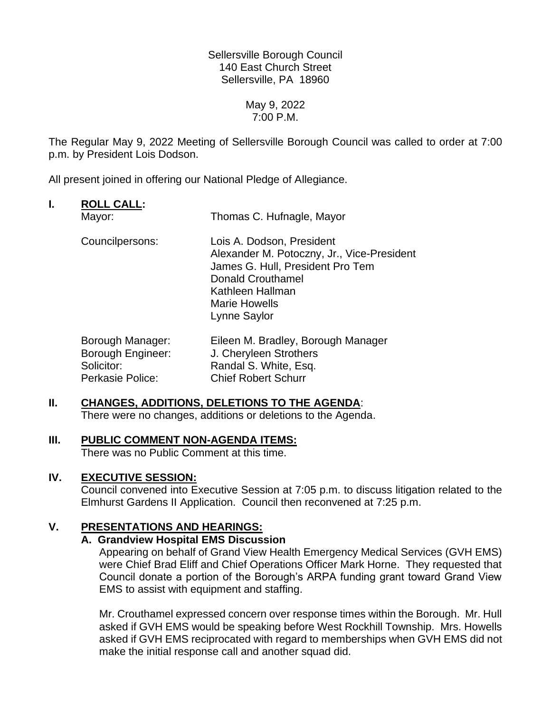Sellersville Borough Council 140 East Church Street Sellersville, PA 18960

> May 9, 2022 7:00 P.M.

The Regular May 9, 2022 Meeting of Sellersville Borough Council was called to order at 7:00 p.m. by President Lois Dodson.

All present joined in offering our National Pledge of Allegiance.

# **I. ROLL CALL:**

| Mayor:                                                     | Thomas C. Hufnagle, Mayor                                                                                                                                                                           |
|------------------------------------------------------------|-----------------------------------------------------------------------------------------------------------------------------------------------------------------------------------------------------|
| Councilpersons:                                            | Lois A. Dodson, President<br>Alexander M. Potoczny, Jr., Vice-President<br>James G. Hull, President Pro Tem<br><b>Donald Crouthamel</b><br>Kathleen Hallman<br><b>Marie Howells</b><br>Lynne Saylor |
| Borough Manager:<br><b>Borough Engineer:</b><br>Solicitor: | Eileen M. Bradley, Borough Manager<br>J. Cheryleen Strothers<br>Randal S. White, Esq.                                                                                                               |

# **II. CHANGES, ADDITIONS, DELETIONS TO THE AGENDA**:

Perkasie Police: Chief Robert Schurr

There were no changes, additions or deletions to the Agenda.

# **III. PUBLIC COMMENT NON-AGENDA ITEMS:**

There was no Public Comment at this time.

# **IV. EXECUTIVE SESSION:**

Council convened into Executive Session at 7:05 p.m. to discuss litigation related to the Elmhurst Gardens II Application. Council then reconvened at 7:25 p.m.

# **V. PRESENTATIONS AND HEARINGS:**

# **A. Grandview Hospital EMS Discussion**

Appearing on behalf of Grand View Health Emergency Medical Services (GVH EMS) were Chief Brad Eliff and Chief Operations Officer Mark Horne. They requested that Council donate a portion of the Borough's ARPA funding grant toward Grand View EMS to assist with equipment and staffing.

Mr. Crouthamel expressed concern over response times within the Borough. Mr. Hull asked if GVH EMS would be speaking before West Rockhill Township. Mrs. Howells asked if GVH EMS reciprocated with regard to memberships when GVH EMS did not make the initial response call and another squad did.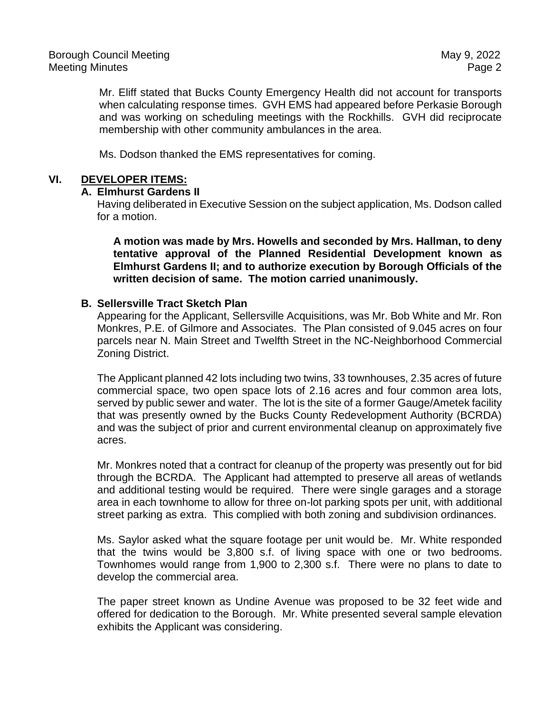Mr. Eliff stated that Bucks County Emergency Health did not account for transports when calculating response times. GVH EMS had appeared before Perkasie Borough and was working on scheduling meetings with the Rockhills. GVH did reciprocate membership with other community ambulances in the area.

Ms. Dodson thanked the EMS representatives for coming.

## **VI. DEVELOPER ITEMS:**

#### **A. Elmhurst Gardens II**

Having deliberated in Executive Session on the subject application, Ms. Dodson called for a motion.

**A motion was made by Mrs. Howells and seconded by Mrs. Hallman, to deny tentative approval of the Planned Residential Development known as Elmhurst Gardens II; and to authorize execution by Borough Officials of the written decision of same. The motion carried unanimously.**

#### **B. Sellersville Tract Sketch Plan**

Appearing for the Applicant, Sellersville Acquisitions, was Mr. Bob White and Mr. Ron Monkres, P.E. of Gilmore and Associates. The Plan consisted of 9.045 acres on four parcels near N. Main Street and Twelfth Street in the NC-Neighborhood Commercial Zoning District.

The Applicant planned 42 lots including two twins, 33 townhouses, 2.35 acres of future commercial space, two open space lots of 2.16 acres and four common area lots, served by public sewer and water. The lot is the site of a former Gauge/Ametek facility that was presently owned by the Bucks County Redevelopment Authority (BCRDA) and was the subject of prior and current environmental cleanup on approximately five acres.

Mr. Monkres noted that a contract for cleanup of the property was presently out for bid through the BCRDA. The Applicant had attempted to preserve all areas of wetlands and additional testing would be required. There were single garages and a storage area in each townhome to allow for three on-lot parking spots per unit, with additional street parking as extra. This complied with both zoning and subdivision ordinances.

Ms. Saylor asked what the square footage per unit would be. Mr. White responded that the twins would be 3,800 s.f. of living space with one or two bedrooms. Townhomes would range from 1,900 to 2,300 s.f. There were no plans to date to develop the commercial area.

The paper street known as Undine Avenue was proposed to be 32 feet wide and offered for dedication to the Borough. Mr. White presented several sample elevation exhibits the Applicant was considering.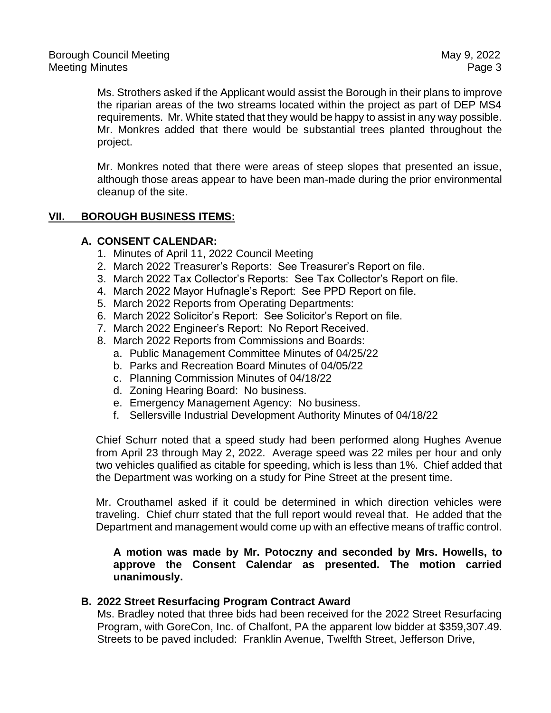Ms. Strothers asked if the Applicant would assist the Borough in their plans to improve the riparian areas of the two streams located within the project as part of DEP MS4 requirements. Mr. White stated that they would be happy to assist in any way possible. Mr. Monkres added that there would be substantial trees planted throughout the project.

Mr. Monkres noted that there were areas of steep slopes that presented an issue, although those areas appear to have been man-made during the prior environmental cleanup of the site.

# **VII. BOROUGH BUSINESS ITEMS:**

## **A. CONSENT CALENDAR:**

- 1. Minutes of April 11, 2022 Council Meeting
- 2. March 2022 Treasurer's Reports: See Treasurer's Report on file.
- 3. March 2022 Tax Collector's Reports: See Tax Collector's Report on file.
- 4. March 2022 Mayor Hufnagle's Report: See PPD Report on file.
- 5. March 2022 Reports from Operating Departments:
- 6. March 2022 Solicitor's Report: See Solicitor's Report on file.
- 7. March 2022 Engineer's Report: No Report Received.
- 8. March 2022 Reports from Commissions and Boards:
	- a. Public Management Committee Minutes of 04/25/22
	- b. Parks and Recreation Board Minutes of 04/05/22
	- c. Planning Commission Minutes of 04/18/22
	- d. Zoning Hearing Board: No business.
	- e. Emergency Management Agency: No business.
	- f. Sellersville Industrial Development Authority Minutes of 04/18/22

Chief Schurr noted that a speed study had been performed along Hughes Avenue from April 23 through May 2, 2022. Average speed was 22 miles per hour and only two vehicles qualified as citable for speeding, which is less than 1%. Chief added that the Department was working on a study for Pine Street at the present time.

Mr. Crouthamel asked if it could be determined in which direction vehicles were traveling. Chief churr stated that the full report would reveal that. He added that the Department and management would come up with an effective means of traffic control.

## **A motion was made by Mr. Potoczny and seconded by Mrs. Howells, to approve the Consent Calendar as presented. The motion carried unanimously.**

#### **B. 2022 Street Resurfacing Program Contract Award**

Ms. Bradley noted that three bids had been received for the 2022 Street Resurfacing Program, with GoreCon, Inc. of Chalfont, PA the apparent low bidder at \$359,307.49. Streets to be paved included: Franklin Avenue, Twelfth Street, Jefferson Drive,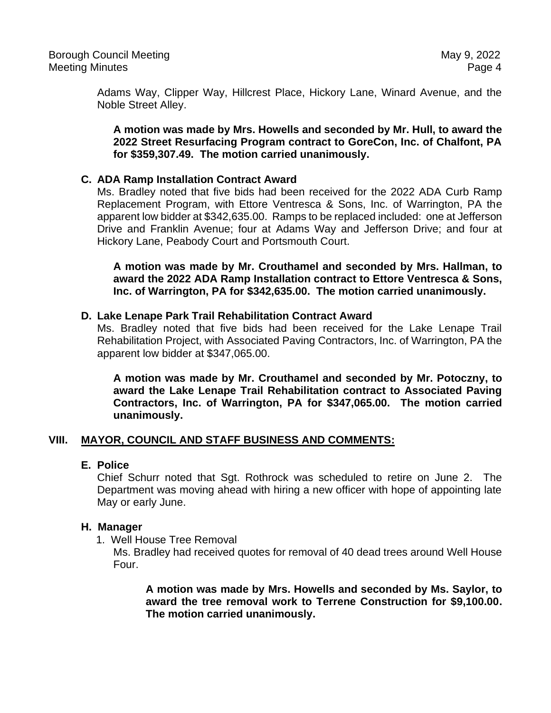Adams Way, Clipper Way, Hillcrest Place, Hickory Lane, Winard Avenue, and the Noble Street Alley.

**A motion was made by Mrs. Howells and seconded by Mr. Hull, to award the 2022 Street Resurfacing Program contract to GoreCon, Inc. of Chalfont, PA for \$359,307.49. The motion carried unanimously.**

## **C. ADA Ramp Installation Contract Award**

Ms. Bradley noted that five bids had been received for the 2022 ADA Curb Ramp Replacement Program, with Ettore Ventresca & Sons, Inc. of Warrington, PA the apparent low bidder at \$342,635.00. Ramps to be replaced included: one at Jefferson Drive and Franklin Avenue; four at Adams Way and Jefferson Drive; and four at Hickory Lane, Peabody Court and Portsmouth Court.

**A motion was made by Mr. Crouthamel and seconded by Mrs. Hallman, to award the 2022 ADA Ramp Installation contract to Ettore Ventresca & Sons, Inc. of Warrington, PA for \$342,635.00. The motion carried unanimously.**

## **D. Lake Lenape Park Trail Rehabilitation Contract Award**

Ms. Bradley noted that five bids had been received for the Lake Lenape Trail Rehabilitation Project, with Associated Paving Contractors, Inc. of Warrington, PA the apparent low bidder at \$347,065.00.

**A motion was made by Mr. Crouthamel and seconded by Mr. Potoczny, to award the Lake Lenape Trail Rehabilitation contract to Associated Paving Contractors, Inc. of Warrington, PA for \$347,065.00. The motion carried unanimously.**

# **VIII. MAYOR, COUNCIL AND STAFF BUSINESS AND COMMENTS:**

#### **E. Police**

Chief Schurr noted that Sgt. Rothrock was scheduled to retire on June 2. The Department was moving ahead with hiring a new officer with hope of appointing late May or early June.

#### **H. Manager**

1. Well House Tree Removal

Ms. Bradley had received quotes for removal of 40 dead trees around Well House Four.

**A motion was made by Mrs. Howells and seconded by Ms. Saylor, to award the tree removal work to Terrene Construction for \$9,100.00. The motion carried unanimously.**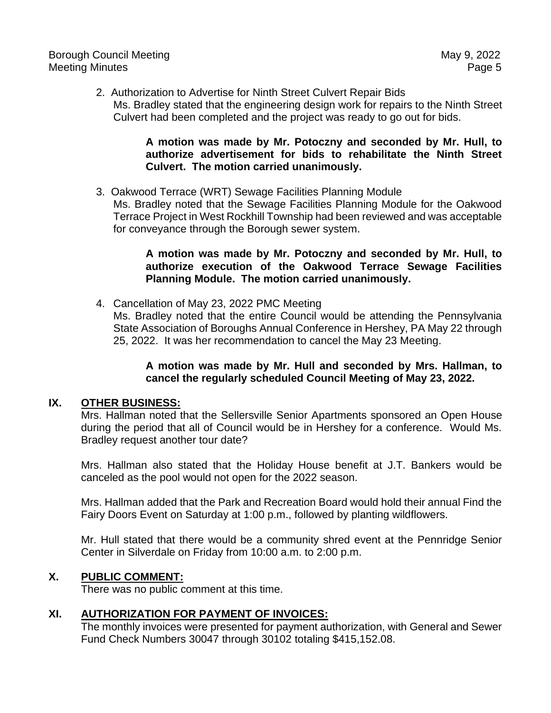2. Authorization to Advertise for Ninth Street Culvert Repair Bids Ms. Bradley stated that the engineering design work for repairs to the Ninth Street Culvert had been completed and the project was ready to go out for bids.

# **A motion was made by Mr. Potoczny and seconded by Mr. Hull, to authorize advertisement for bids to rehabilitate the Ninth Street Culvert. The motion carried unanimously.**

3. Oakwood Terrace (WRT) Sewage Facilities Planning Module

Ms. Bradley noted that the Sewage Facilities Planning Module for the Oakwood Terrace Project in West Rockhill Township had been reviewed and was acceptable for conveyance through the Borough sewer system.

# **A motion was made by Mr. Potoczny and seconded by Mr. Hull, to authorize execution of the Oakwood Terrace Sewage Facilities Planning Module. The motion carried unanimously.**

4. Cancellation of May 23, 2022 PMC Meeting

Ms. Bradley noted that the entire Council would be attending the Pennsylvania State Association of Boroughs Annual Conference in Hershey, PA May 22 through 25, 2022. It was her recommendation to cancel the May 23 Meeting.

# **A motion was made by Mr. Hull and seconded by Mrs. Hallman, to cancel the regularly scheduled Council Meeting of May 23, 2022.**

# **IX. OTHER BUSINESS:**

Mrs. Hallman noted that the Sellersville Senior Apartments sponsored an Open House during the period that all of Council would be in Hershey for a conference. Would Ms. Bradley request another tour date?

Mrs. Hallman also stated that the Holiday House benefit at J.T. Bankers would be canceled as the pool would not open for the 2022 season.

Mrs. Hallman added that the Park and Recreation Board would hold their annual Find the Fairy Doors Event on Saturday at 1:00 p.m., followed by planting wildflowers.

Mr. Hull stated that there would be a community shred event at the Pennridge Senior Center in Silverdale on Friday from 10:00 a.m. to 2:00 p.m.

# **X. PUBLIC COMMENT:**

There was no public comment at this time.

# **XI. AUTHORIZATION FOR PAYMENT OF INVOICES:**

The monthly invoices were presented for payment authorization, with General and Sewer Fund Check Numbers 30047 through 30102 totaling \$415,152.08.